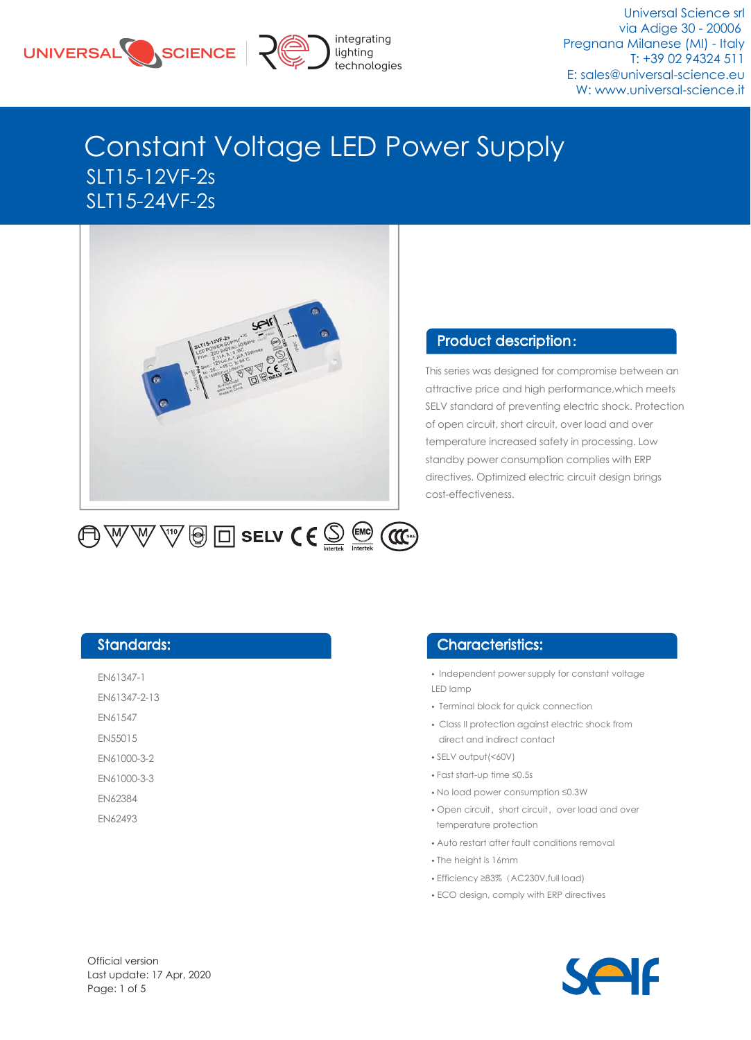



Universal Science srl via Adige 30 - 20006 Pregnana Milanese (MI) - Italy T: +39 02 94324 511 E: sales@universal-science.eu W: www.universal-science.it

# Constant Voltage LED Power Supply SLT15-12VF-2s SLT15-24VF-2s



#### Product description :

This series was designed for compromise between an attractive price and high performance,which meets SELV standard of preventing electric shock. Protection of open circuit, short circuit, over load and over temperature increased safety in processing. Low standby power consumption complies with ERP directives. Optimized electric circuit design brings cost-effectiveness.

 $\overline{\mathbb{W}}$   $\overline{\mathbb{W}}$   $\overline{\mathbb{G}}$   $\overline{\boxminus}$  selv  $\overline{\mathsf{C}}\in\overline{\mathbb{S}}$   $\overline{\mathbb{M}}$   $\overline{\mathbb{G}}$   $\overline{\mathbb{G}}$ 再双

#### Standards:

EN61347-1 EN61347-2-13 EN61547

EN55015

EN61000-3-2

- EN61000-3-3
- EN62384
- EN62493

#### Characteristics:

- Independent power supply for constant voltage LED lamp
- •Terminal block for quick connection
- •Class II protection against electric shock from direct and indirect contact
- •SELV output(<60V)
- •Fast start-up time ≤0.5s
- •No load power consumption ≤0.3W
- Open circuit, short circuit, over load and over temperature protection
- •Auto restart after fault conditions removal
- •The height is 16mm
- •Efficiency ≥83%(AC230V,full load)
- ECO design, comply with ERP directives

Official version Last update: 17 Apr, 2020 Page: 1 of 5

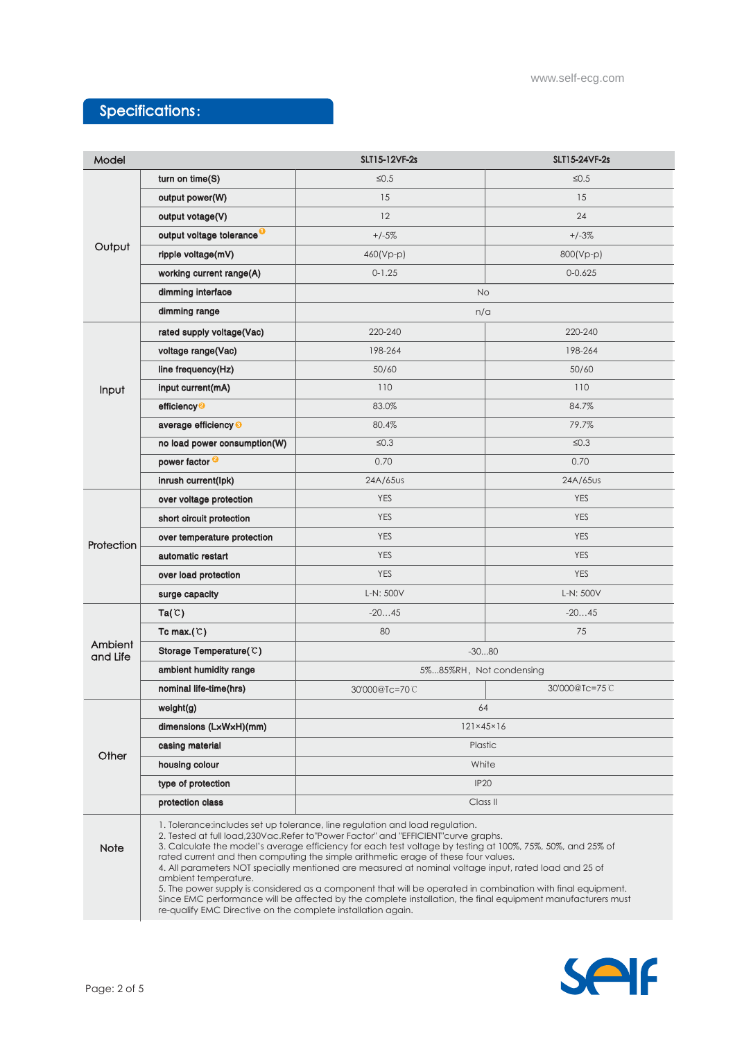### Specifications:

| Model               |                                                                                                                                                                                                                                                                                                                                                                                                                                                                                                                                                                                                                                                                                                                                                                                                           | SLT15-12VF-2s             | SLT15-24VF-2s        |  |  |  |  |
|---------------------|-----------------------------------------------------------------------------------------------------------------------------------------------------------------------------------------------------------------------------------------------------------------------------------------------------------------------------------------------------------------------------------------------------------------------------------------------------------------------------------------------------------------------------------------------------------------------------------------------------------------------------------------------------------------------------------------------------------------------------------------------------------------------------------------------------------|---------------------------|----------------------|--|--|--|--|
|                     | turn on time $(S)$                                                                                                                                                                                                                                                                                                                                                                                                                                                                                                                                                                                                                                                                                                                                                                                        | $\leq 0.5$                | $\leq 0.5$           |  |  |  |  |
| Output              | output power(W)                                                                                                                                                                                                                                                                                                                                                                                                                                                                                                                                                                                                                                                                                                                                                                                           | 15                        | 15                   |  |  |  |  |
|                     | output votage(V)                                                                                                                                                                                                                                                                                                                                                                                                                                                                                                                                                                                                                                                                                                                                                                                          | 12                        | 24                   |  |  |  |  |
|                     | output voltage tolerance <sup>O</sup>                                                                                                                                                                                                                                                                                                                                                                                                                                                                                                                                                                                                                                                                                                                                                                     | $+/-5%$                   | $+/-3%$              |  |  |  |  |
|                     | ripple voltage(mV)                                                                                                                                                                                                                                                                                                                                                                                                                                                                                                                                                                                                                                                                                                                                                                                        | 460(Vp-p)                 | 800(Vp-p)            |  |  |  |  |
|                     | working current range(A)                                                                                                                                                                                                                                                                                                                                                                                                                                                                                                                                                                                                                                                                                                                                                                                  | $0 - 1.25$                | $0 - 0.625$          |  |  |  |  |
|                     | dimming interface                                                                                                                                                                                                                                                                                                                                                                                                                                                                                                                                                                                                                                                                                                                                                                                         | <b>No</b>                 |                      |  |  |  |  |
|                     | dimming range                                                                                                                                                                                                                                                                                                                                                                                                                                                                                                                                                                                                                                                                                                                                                                                             | n/a                       |                      |  |  |  |  |
|                     | rated supply voltage(Vac)                                                                                                                                                                                                                                                                                                                                                                                                                                                                                                                                                                                                                                                                                                                                                                                 | 220-240                   | 220-240              |  |  |  |  |
|                     | voltage range(Vac)                                                                                                                                                                                                                                                                                                                                                                                                                                                                                                                                                                                                                                                                                                                                                                                        | 198-264                   | 198-264              |  |  |  |  |
|                     | line frequency(Hz)                                                                                                                                                                                                                                                                                                                                                                                                                                                                                                                                                                                                                                                                                                                                                                                        | 50/60                     | 50/60                |  |  |  |  |
| Input               | input current(mA)                                                                                                                                                                                                                                                                                                                                                                                                                                                                                                                                                                                                                                                                                                                                                                                         | 110                       | 110                  |  |  |  |  |
|                     | efficiency <sup>2</sup>                                                                                                                                                                                                                                                                                                                                                                                                                                                                                                                                                                                                                                                                                                                                                                                   | 83.0%                     | 84.7%                |  |  |  |  |
|                     | average efficiency <sup>®</sup>                                                                                                                                                                                                                                                                                                                                                                                                                                                                                                                                                                                                                                                                                                                                                                           | 80.4%                     | 79.7%                |  |  |  |  |
|                     | no load power consumption(W)                                                                                                                                                                                                                                                                                                                                                                                                                                                                                                                                                                                                                                                                                                                                                                              | $\leq 0.3$                | $\leq 0.3$           |  |  |  |  |
|                     | power factor <sup>2</sup>                                                                                                                                                                                                                                                                                                                                                                                                                                                                                                                                                                                                                                                                                                                                                                                 | 0.70                      | 0.70                 |  |  |  |  |
|                     | inrush current(lpk)                                                                                                                                                                                                                                                                                                                                                                                                                                                                                                                                                                                                                                                                                                                                                                                       | 24A/65 <sub>US</sub>      | 24A/65 <sub>US</sub> |  |  |  |  |
|                     | over voltage protection                                                                                                                                                                                                                                                                                                                                                                                                                                                                                                                                                                                                                                                                                                                                                                                   | <b>YES</b>                | <b>YES</b>           |  |  |  |  |
|                     | short circuit protection                                                                                                                                                                                                                                                                                                                                                                                                                                                                                                                                                                                                                                                                                                                                                                                  | <b>YES</b>                | <b>YES</b>           |  |  |  |  |
| Protection          | over temperature protection                                                                                                                                                                                                                                                                                                                                                                                                                                                                                                                                                                                                                                                                                                                                                                               | <b>YES</b>                | <b>YES</b>           |  |  |  |  |
|                     | automatic restart                                                                                                                                                                                                                                                                                                                                                                                                                                                                                                                                                                                                                                                                                                                                                                                         | <b>YES</b>                | <b>YES</b>           |  |  |  |  |
|                     | over load protection                                                                                                                                                                                                                                                                                                                                                                                                                                                                                                                                                                                                                                                                                                                                                                                      | <b>YES</b>                | <b>YES</b>           |  |  |  |  |
|                     | surge capacity                                                                                                                                                                                                                                                                                                                                                                                                                                                                                                                                                                                                                                                                                                                                                                                            | L-N: 500V                 | L-N: 500V            |  |  |  |  |
|                     | Ta(C)                                                                                                                                                                                                                                                                                                                                                                                                                                                                                                                                                                                                                                                                                                                                                                                                     | $-2045$                   | $-2045$              |  |  |  |  |
|                     | Tc max. $(C)$                                                                                                                                                                                                                                                                                                                                                                                                                                                                                                                                                                                                                                                                                                                                                                                             | 80                        | 75                   |  |  |  |  |
| Ambient<br>and Life | Storage Temperature(C)                                                                                                                                                                                                                                                                                                                                                                                                                                                                                                                                                                                                                                                                                                                                                                                    | $-3080$                   |                      |  |  |  |  |
|                     | ambient humidity range                                                                                                                                                                                                                                                                                                                                                                                                                                                                                                                                                                                                                                                                                                                                                                                    | 5%85%RH, Not condensing   |                      |  |  |  |  |
|                     | nominal life-time(hrs)                                                                                                                                                                                                                                                                                                                                                                                                                                                                                                                                                                                                                                                                                                                                                                                    | 30'000@Tc=70C             | 30'000@Tc=75C        |  |  |  |  |
|                     | weight(g)                                                                                                                                                                                                                                                                                                                                                                                                                                                                                                                                                                                                                                                                                                                                                                                                 | 64                        |                      |  |  |  |  |
|                     | dimensions (LxWxH)(mm)                                                                                                                                                                                                                                                                                                                                                                                                                                                                                                                                                                                                                                                                                                                                                                                    | $121 \times 45 \times 16$ |                      |  |  |  |  |
| Other               | casing material                                                                                                                                                                                                                                                                                                                                                                                                                                                                                                                                                                                                                                                                                                                                                                                           | <b>Plastic</b>            |                      |  |  |  |  |
|                     | housing colour                                                                                                                                                                                                                                                                                                                                                                                                                                                                                                                                                                                                                                                                                                                                                                                            | White                     |                      |  |  |  |  |
|                     | type of protection                                                                                                                                                                                                                                                                                                                                                                                                                                                                                                                                                                                                                                                                                                                                                                                        | <b>IP20</b>               |                      |  |  |  |  |
|                     | protection class                                                                                                                                                                                                                                                                                                                                                                                                                                                                                                                                                                                                                                                                                                                                                                                          | Class II                  |                      |  |  |  |  |
| <b>Note</b>         | 1. Tolerance: includes set up tolerance, line regulation and load regulation.<br>2. Tested at full load, 230Vac. Refer to "Power Factor" and "EFFICIENT" curve graphs.<br>3. Calculate the model's average efficiency for each test voltage by testing at 100%, 75%, 50%, and 25% of<br>rated current and then computing the simple arithmetic erage of these four values.<br>4. All parameters NOT specially mentioned are measured at nominal voltage input, rated load and 25 of<br>ambient temperature.<br>5. The power supply is considered as a component that will be operated in combination with final equipment.<br>Since EMC performance will be affected by the complete installation, the final equipment manufacturers must<br>re-qualify EMC Directive on the complete installation again. |                           |                      |  |  |  |  |
|                     |                                                                                                                                                                                                                                                                                                                                                                                                                                                                                                                                                                                                                                                                                                                                                                                                           |                           |                      |  |  |  |  |

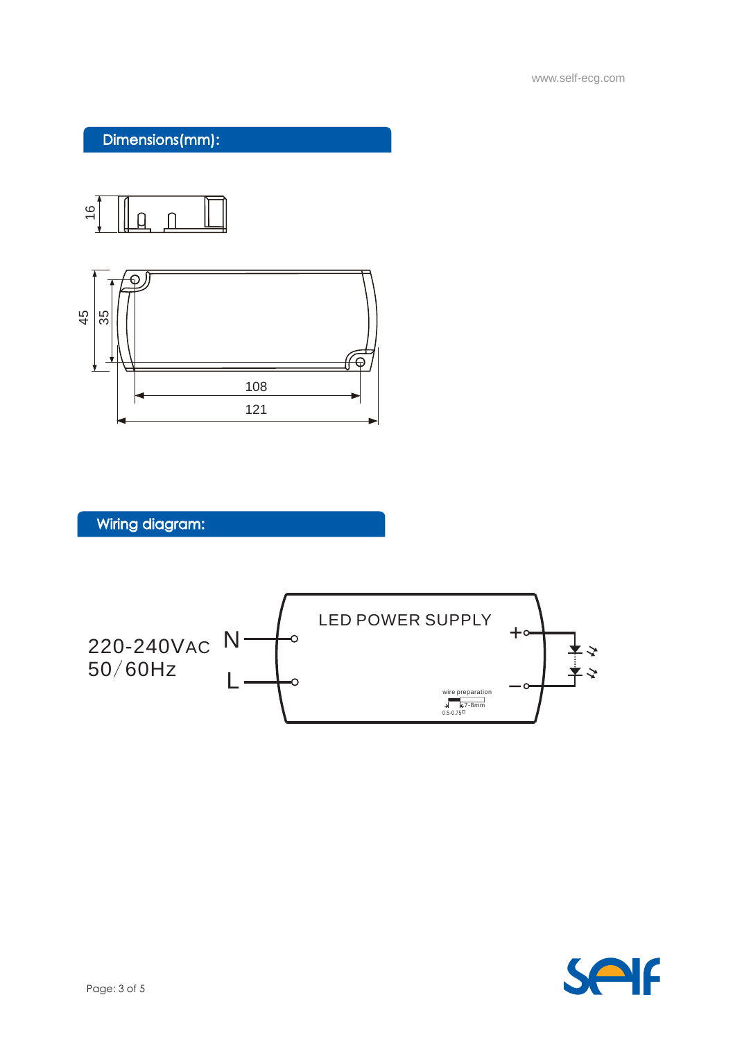www.self-ecg.com

### Dimensions(mm):





Wiring diagram:



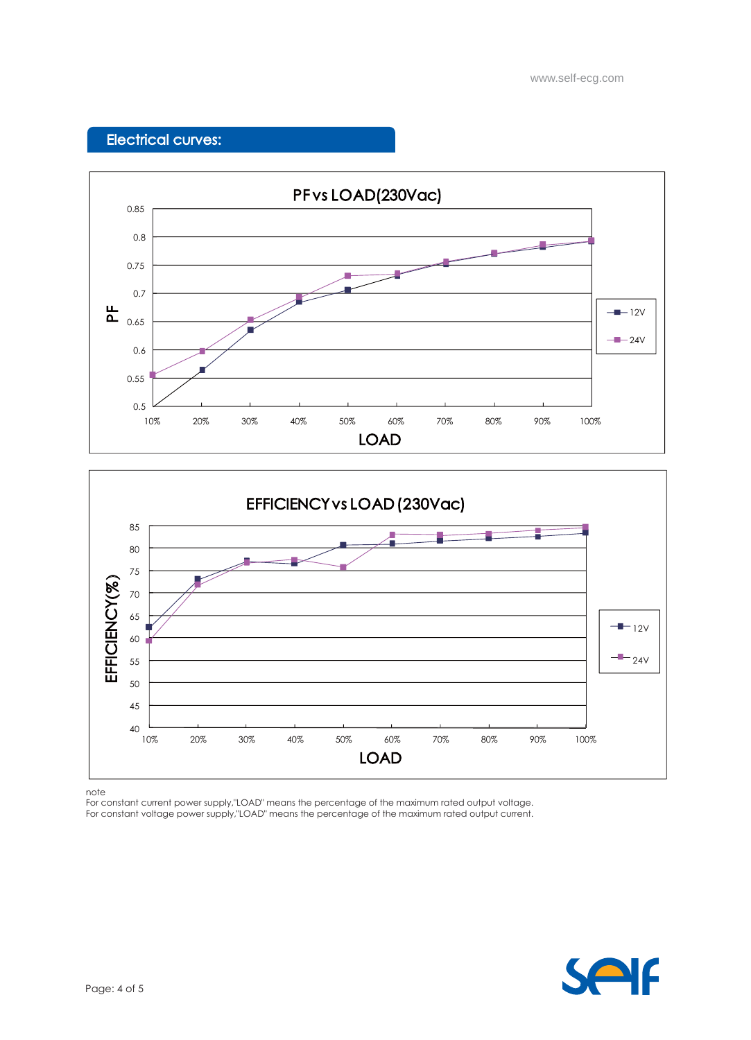www.self-ecg.com

# Electrical curves:





note

For constant current power supply,"LOAD" means the percentage of the maximum rated output voltage. For constant voltage power supply,"LOAD" means the percentage of the maximum rated output current.